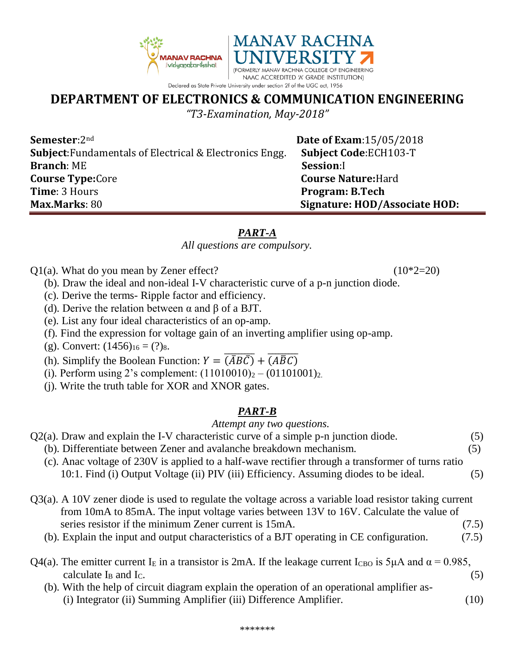

# **DEPARTMENT OF ELECTRONICS & COMMUNICATION ENGINEERING**

*"T3-Examination, May-2018"*

**Semester**:2<sup>nd</sup> **Date of Exam**:15/05/2018 **Subject**:Fundamentals of Electrical & Electronics Engg. **Subject Code**:ECH103-T **Branch**: ME **Session**:I **Course Type:**Core **Course Nature:**Hard **Time**: 3 Hours **Program: B.Tech Max.Marks**: 80 **Signature: HOD/Associate HOD:**

## *PART-A*

#### *All questions are compulsory.*

- $Q1(a)$ . What do you mean by Zener effect? (10\*2=20)
	- (b). Draw the ideal and non-ideal I-V characteristic curve of a p-n junction diode.
	- (c). Derive the terms- Ripple factor and efficiency.
	- (d). Derive the relation between α and β of a BJT.
	- (e). List any four ideal characteristics of an op-amp.
	- (f). Find the expression for voltage gain of an inverting amplifier using op-amp.
	- (g). Convert:  $(1456)_{16} = (?)_8$ .
- (h). Simplify the Boolean Function:  $Y = \overline{(\overline{AB}\overline{C})} + \overline{(A\overline{B}C)}$ 
	- (i). Perform using 2's complement:  $(11010010)<sub>2</sub> (01101001)<sub>2</sub>$ .
	- (j). Write the truth table for XOR and XNOR gates.

## *PART-B*

## *Attempt any two questions.*

- $Q2(a)$ . Draw and explain the I-V characteristic curve of a simple p-n junction diode.  $(5)$ 
	- (b). Differentiate between Zener and avalanche breakdown mechanism. (5)
	- (c). Anac voltage of 230V is applied to a half-wave rectifier through a transformer of turns ratio 10:1. Find (i) Output Voltage (ii) PIV (iii) Efficiency. Assuming diodes to be ideal. (5)
- Q3(a). A 10V zener diode is used to regulate the voltage across a variable load resistor taking current from 10mA to 85mA. The input voltage varies between 13V to 16V. Calculate the value of series resistor if the minimum Zener current is 15mA. (7.5)
	- (b). Explain the input and output characteristics of a BJT operating in CE configuration. (7.5)
- Q4(a). The emitter current I<sub>E</sub> in a transistor is 2mA. If the leakage current I<sub>CBO</sub> is 5μA and  $\alpha$  = 0.985, calculate  $I_B$  and  $I_C$ . (5)
	- (b). With the help of circuit diagram explain the operation of an operational amplifier as- (i) Integrator (ii) Summing Amplifier (iii) Difference Amplifier. (10)

\*\*\*\*\*\*\*